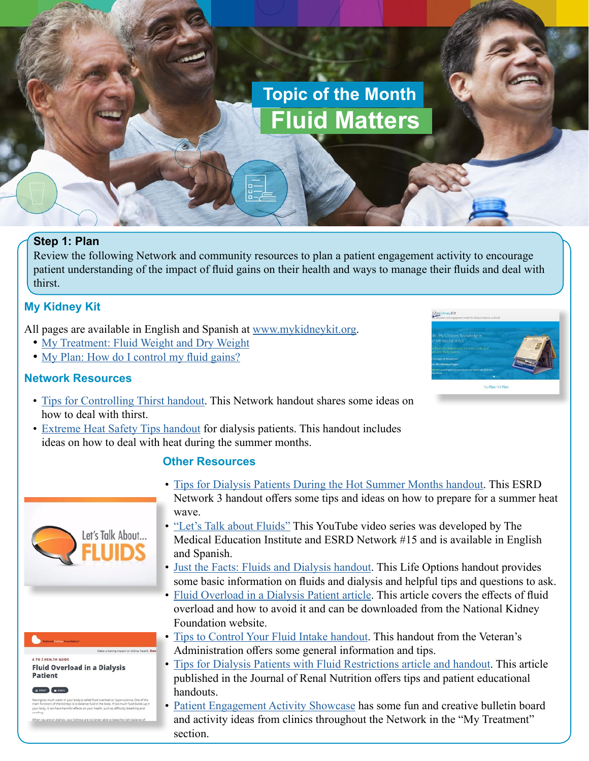# **Topic of the Month Fluid Matters**

# **Step 1: Plan**

Review the following Network and community resources to plan a patient engagement activity to encourage patient understanding of the impact of fluid gains on their health and ways to manage their fluids and deal with thirst.

# **My Kidney Kit**

All pages are available in English and Spanish at [www.mykidneykit.org](http://www.mykidneykit.org).

- [My Treatment: Fluid Weight and Dry Weight](http://mykidneykit.org/files/MyTreatment_WhatisFluidWeight.pdf)
- [My Plan: How do I control my fluid gains?](http://mykidneykit.org/files/MyPlan_ControlFluids.pdf)

# **Network Resources**



- [Tips for Controlling Thirst handout.](http://heartlandkidney.org/download/tips-on-controlling-thirst/) This Network handout shares some ideas on how to deal with thirst.
- [Extreme Heat Safety Tips handout](http://heartlandkidney.org/download/extreme-heat-safety-tips/) for dialysis patients. This handout includes ideas on how to deal with heat during the summer months.

#### **Other Resources**





- [Tips for Dialysis Patients During the Hot Summer Months handout](https://www.qirn3.org/Files/Patient-Education/HeatWave.aspx). This ESRD Network 3 handout offers some tips and ideas on how to prepare for a summer heat wave.
- ["Let's Talk about Fluids"](https://www.youtube.com/watch?v=2F2mcR-UR0k&feature=youtu.be) This YouTube video series was developed by The Medical Education Institute and ESRD Network #15 and is available in English and Spanish.
- [Just the Facts: Fluids and Dialysis handout.](https://lifeoptions.org/assets/pdfs/just_the_facts_fluid_and_dialysis.pdf) This Life Options handout provides some basic information on fluids and dialysis and helpful tips and questions to ask.
- [Fluid Overload in a Dialysis Patient article](https://www.kidney.org/atoz/content/fluid-overload-dialysis-patient). This article covers the effects of fluid overload and how to avoid it and can be downloaded from the National Kidney Foundation website.
- [Tips to Control Your Fluid Intake handout](https://www.pittsburgh.va.gov/Dialysis/docs/TipstoControlFluidIntake.pdf). This handout from the Veteran's Administration offers some general information and tips.
- [Tips for Dialysis Patients with Fluid Restrictions article and handout.](https://www.jrnjournal.org/article/S1051-2276(17)30143-7/pdf) This article published in the Journal of Renal Nutrition offers tips and patient educational handouts.
- [Patient Engagement Activity Showcase](http://heartlandkidney.org/providers/quality-improvement/patient-engagement/patient-engagement-showcase/) has some fun and creative bulletin board and activity ideas from clinics throughout the Network in the "My Treatment" section.